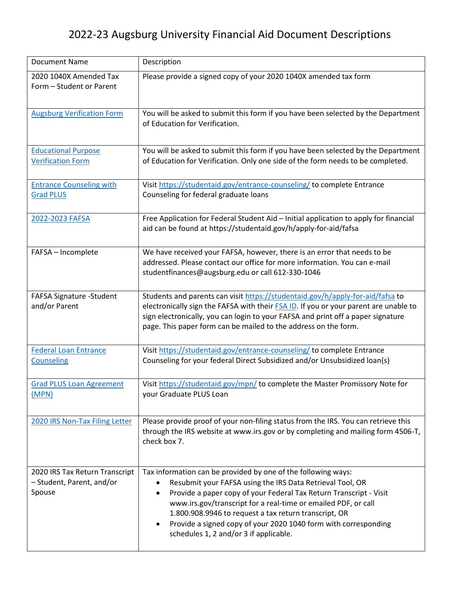## 2022-23 Augsburg University Financial Aid Document Descriptions

| <b>Document Name</b>                                                  | Description                                                                                                                                                                                                                                                                                                                                                                                                                                                |
|-----------------------------------------------------------------------|------------------------------------------------------------------------------------------------------------------------------------------------------------------------------------------------------------------------------------------------------------------------------------------------------------------------------------------------------------------------------------------------------------------------------------------------------------|
| 2020 1040X Amended Tax<br>Form - Student or Parent                    | Please provide a signed copy of your 2020 1040X amended tax form                                                                                                                                                                                                                                                                                                                                                                                           |
| <b>Augsburg Verification Form</b>                                     | You will be asked to submit this form if you have been selected by the Department<br>of Education for Verification.                                                                                                                                                                                                                                                                                                                                        |
| <b>Educational Purpose</b><br><b>Verification Form</b>                | You will be asked to submit this form if you have been selected by the Department<br>of Education for Verification. Only one side of the form needs to be completed.                                                                                                                                                                                                                                                                                       |
| <b>Entrance Counseling with</b><br><b>Grad PLUS</b>                   | Visit https://studentaid.gov/entrance-counseling/ to complete Entrance<br>Counseling for federal graduate loans                                                                                                                                                                                                                                                                                                                                            |
| 2022-2023 FAFSA                                                       | Free Application for Federal Student Aid - Initial application to apply for financial<br>aid can be found at https://studentaid.gov/h/apply-for-aid/fafsa                                                                                                                                                                                                                                                                                                  |
| FAFSA - Incomplete                                                    | We have received your FAFSA, however, there is an error that needs to be<br>addressed. Please contact our office for more information. You can e-mail<br>studentfinances@augsburg.edu or call 612-330-1046                                                                                                                                                                                                                                                 |
| FAFSA Signature -Student<br>and/or Parent                             | Students and parents can visit https://studentaid.gov/h/apply-for-aid/fafsa to<br>electronically sign the FAFSA with their FSA ID. If you or your parent are unable to<br>sign electronically, you can login to your FAFSA and print off a paper signature<br>page. This paper form can be mailed to the address on the form.                                                                                                                              |
| <b>Federal Loan Entrance</b><br><b>Counseling</b>                     | Visit https://studentaid.gov/entrance-counseling/ to complete Entrance<br>Counseling for your federal Direct Subsidized and/or Unsubsidized loan(s)                                                                                                                                                                                                                                                                                                        |
| <b>Grad PLUS Loan Agreement</b><br>(MPN)                              | Visit https://studentaid.gov/mpn/ to complete the Master Promissory Note for<br>your Graduate PLUS Loan                                                                                                                                                                                                                                                                                                                                                    |
| 2020 IRS Non-Tax Filing Letter                                        | Please provide proof of your non-filing status from the IRS. You can retrieve this<br>through the IRS website at www.irs.gov or by completing and mailing form 4506-T,<br>check box 7.                                                                                                                                                                                                                                                                     |
| 2020 IRS Tax Return Transcript<br>- Student, Parent, and/or<br>Spouse | Tax information can be provided by one of the following ways:<br>Resubmit your FAFSA using the IRS Data Retrieval Tool, OR<br>Provide a paper copy of your Federal Tax Return Transcript - Visit<br>٠<br>www.irs.gov/transcript for a real-time or emailed PDF, or call<br>1.800.908.9946 to request a tax return transcript, OR<br>Provide a signed copy of your 2020 1040 form with corresponding<br>$\bullet$<br>schedules 1, 2 and/or 3 if applicable. |